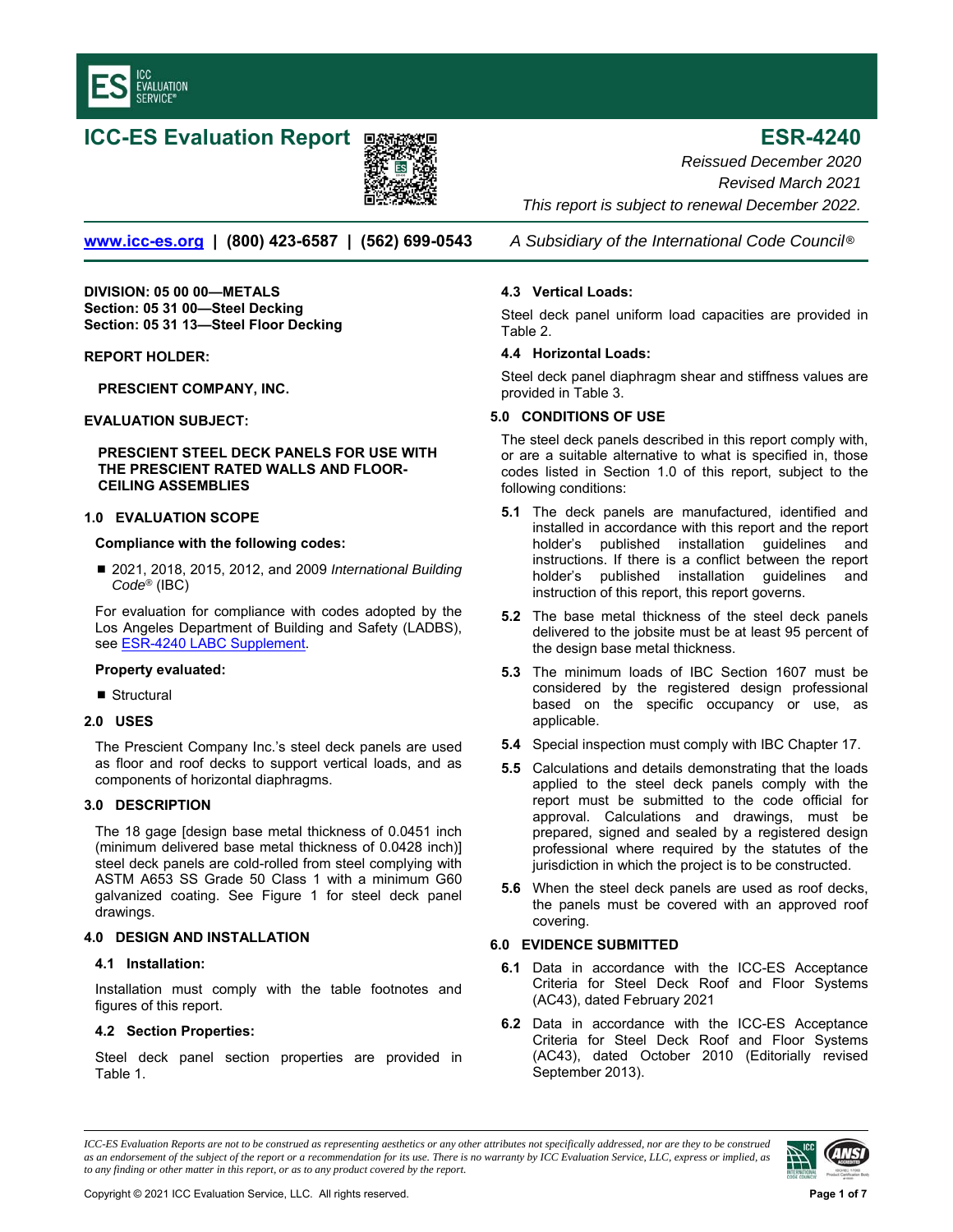<span id="page-0-0"></span>

# **ICC-ES Evaluation Report <b>ESR** and Text in the ESR-4240



**www.icc-es.org | (800) 423-6587 | (562) 699-0543** *A Subsidiary of the International Code Council* ®

**DIVISION: 05 00 00—METALS Section: 05 31 00—Steel Decking Section: 05 31 13—Steel Floor Decking** 

### **REPORT HOLDER:**

**PRESCIENT COMPANY, INC.** 

### **EVALUATION SUBJECT:**

#### **PRESCIENT STEEL DECK PANELS FOR USE WITH THE PRESCIENT RATED WALLS AND FLOOR-CEILING ASSEMBLIES**

### **1.0 EVALUATION SCOPE**

# **Compliance with the following codes:**

■ 2021, 2018, 2015, 2012, and 2009 *International Building Code®* (IBC)

For evaluation for compliance with codes adopted by the Los Angeles Department of Building and Safety (LADBS), see **ESR-4240 LABC Supplement**.

## **Property evaluated:**

■ Structural

#### **2.0 USES**

The Prescient Company Inc.'s steel deck panels are used as floor and roof decks to support vertical loads, and as components of horizontal diaphragms.

# **3.0 DESCRIPTION**

The 18 gage [design base metal thickness of 0.0451 inch (minimum delivered base metal thickness of 0.0428 inch)] steel deck panels are cold-rolled from steel complying with ASTM A653 SS Grade 50 Class 1 with a minimum G60 galvanized coating. See Figure 1 for steel deck panel drawings.

# **4.0 DESIGN AND INSTALLATION**

#### **4.1 Installation:**

Installation must comply with the table footnotes and figures of this report.

# **4.2 Section Properties:**

Steel deck panel section properties are provided in Table 1.

*Reissued December 2020 Revised March 2021 This report is subject to renewal December 2022.* 

## **4.3 Vertical Loads:**

Steel deck panel uniform load capacities are provided in Table 2.

### **4.4 Horizontal Loads:**

Steel deck panel diaphragm shear and stiffness values are provided in Table 3.

# **5.0 CONDITIONS OF USE**

The steel deck panels described in this report comply with, or are a suitable alternative to what is specified in, those codes listed in Section 1.0 of this report, subject to the following conditions:

- **5.1** The deck panels are manufactured, identified and installed in accordance with this report and the report holder's published installation guidelines and instructions. If there is a conflict between the report holder's published installation guidelines and instruction of this report, this report governs.
- **5.2** The base metal thickness of the steel deck panels delivered to the jobsite must be at least 95 percent of the design base metal thickness.
- **5.3** The minimum loads of IBC Section 1607 must be considered by the registered design professional based on the specific occupancy or use, as applicable.
- **5.4** Special inspection must comply with IBC Chapter 17.
- **5.5** Calculations and details demonstrating that the loads applied to the steel deck panels comply with the report must be submitted to the code official for approval. Calculations and drawings, must be prepared, signed and sealed by a registered design professional where required by the statutes of the jurisdiction in which the project is to be constructed.
- **5.6** When the steel deck panels are used as roof decks, the panels must be covered with an approved roof covering.

# **6.0 EVIDENCE SUBMITTED**

- **6.1** Data in accordance with the ICC-ES Acceptance Criteria for Steel Deck Roof and Floor Systems (AC43), dated February 2021
- **6.2** Data in accordance with the ICC-ES Acceptance Criteria for Steel Deck Roof and Floor Systems (AC43), dated October 2010 (Editorially revised September 2013).

*ICC-ES Evaluation Reports are not to be construed as representing aesthetics or any other attributes not specifically addressed, nor are they to be construed as an endorsement of the subject of the report or a recommendation for its use. There is no warranty by ICC Evaluation Service, LLC, express or implied, as to any finding or other matter in this report, or as to any product covered by the report.*

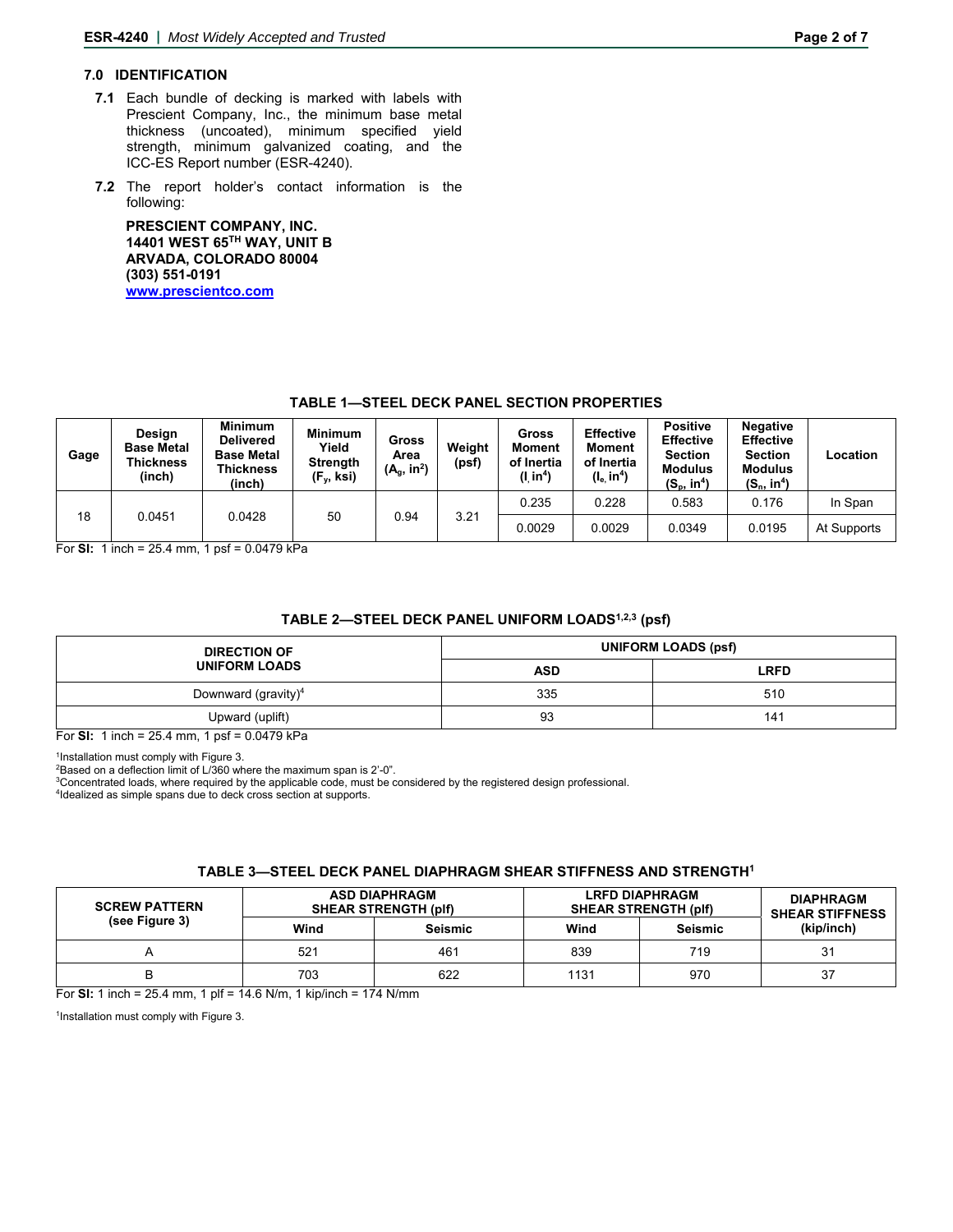# **7.0 IDENTIFICATION**

- **7.1** Each bundle of decking is marked with labels with Prescient Company, Inc., the minimum base metal thickness (uncoated), minimum specified yield strength, minimum galvanized coating, and the ICC-ES Report number (ESR-4240).
- **7.2** The report holder's contact information is the following:

**PRESCIENT COMPANY, INC. 14401 WEST 65TH WAY, UNIT B ARVADA, COLORADO 80004 (303) 551-0191 www.prescientco.com** 

# **TABLE 1—STEEL DECK PANEL SECTION PROPERTIES**

| Gage | Design<br><b>Base Metal</b><br>Thickness<br>(inch) | <b>Minimum</b><br><b>Delivered</b><br><b>Base Metal</b><br>Thickness<br>(inch) | <b>Minimum</b><br>Yield<br><b>Strength</b><br>$(F_v, ksi)$ | Gross<br>Area<br>$(A_q, in^2)$ | Weiaht<br>(psf) | Gross<br><b>Moment</b><br>of Inertia<br>(I in <sup>4</sup> ) | <b>Effective</b><br><b>Moment</b><br>of Inertia<br>$(I_e$ in <sup>4</sup> ) | <b>Positive</b><br><b>Effective</b><br><b>Section</b><br><b>Modulus</b><br>$(S_p, in^4)$ | <b>Negative</b><br><b>Effective</b><br><b>Section</b><br><b>Modulus</b><br>$(S_n, in^4)$ | Location    |
|------|----------------------------------------------------|--------------------------------------------------------------------------------|------------------------------------------------------------|--------------------------------|-----------------|--------------------------------------------------------------|-----------------------------------------------------------------------------|------------------------------------------------------------------------------------------|------------------------------------------------------------------------------------------|-------------|
| 18   | 0.0451                                             | 0.0428                                                                         | 50                                                         | 0.94                           | 3.21            | 0.235                                                        | 0.228                                                                       | 0.583                                                                                    | 0.176                                                                                    | In Span     |
|      |                                                    |                                                                                |                                                            |                                |                 | 0.0029                                                       | 0.0029                                                                      | 0.0349                                                                                   | 0.0195                                                                                   | At Supports |

For **SI:** 1 inch = 25.4 mm, 1 psf = 0.0479 kPa

# **TABLE 2—STEEL DECK PANEL UNIFORM LOADS1,2,3 (psf)**

| <b>DIRECTION OF</b>    | <b>UNIFORM LOADS (psf)</b> |             |  |  |
|------------------------|----------------------------|-------------|--|--|
| <b>UNIFORM LOADS</b>   | <b>ASD</b>                 | <b>LRFD</b> |  |  |
| Downward (gravity) $4$ | 335                        | 510         |  |  |
| Upward (uplift)        | 93                         | 141         |  |  |

For **SI:** 1 inch = 25.4 mm, 1 psf = 0.0479 kPa

<sup>1</sup>Installation must comply with Figure 3.

<sup>2</sup>Based on a deflection limit of L/360 where the maximum span is 2'-0".

<sup>3</sup>Concentrated loads, where required by the applicable code, must be considered by the registered design professional.<br><sup>4</sup>Idealized as simple spans due to deck cross section at supports.

### **TABLE 3—STEEL DECK PANEL DIAPHRAGM SHEAR STIFFNESS AND STRENGTH1**

| <b>SCREW PATTERN</b> |      | <b>ASD DIAPHRAGM</b><br><b>SHEAR STRENGTH (plf)</b> | <b>LRFD DIAPHRAGM</b><br><b>SHEAR STRENGTH (plf)</b> | <b>DIAPHRAGM</b><br><b>SHEAR STIFFNESS</b> |            |  |
|----------------------|------|-----------------------------------------------------|------------------------------------------------------|--------------------------------------------|------------|--|
| (see Figure 3)       | Wind | <b>Seismic</b>                                      | Wind                                                 | Seismic                                    | (kip/inch) |  |
| Α                    | 521  | 461                                                 | 839                                                  | 719                                        | 31         |  |
| в                    | 703  | 622                                                 | 1131                                                 | 970                                        | 37         |  |

For **SI:** 1 inch = 25.4 mm, 1 plf = 14.6 N/m, 1 kip/inch = 174 N/mm

1Installation must comply with Figure 3.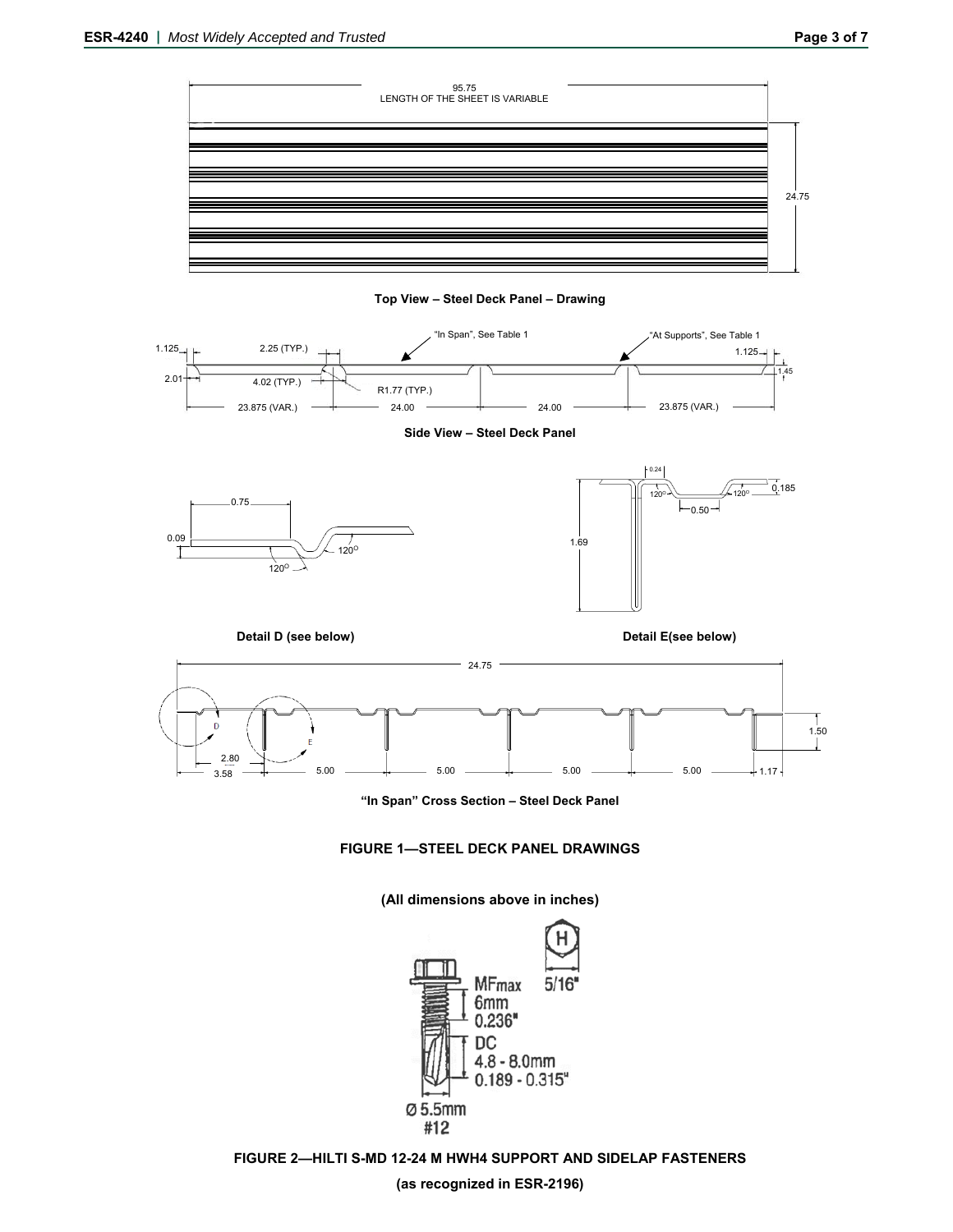





**Side View – Steel Deck Panel** 





**"In Span" Cross Section – Steel Deck Panel** 



**(All dimensions above in inches)** 



**FIGURE 2—HILTI S-MD 12-24 M HWH4 SUPPORT AND SIDELAP FASTENERS** 

**(as recognized in ESR-2196)**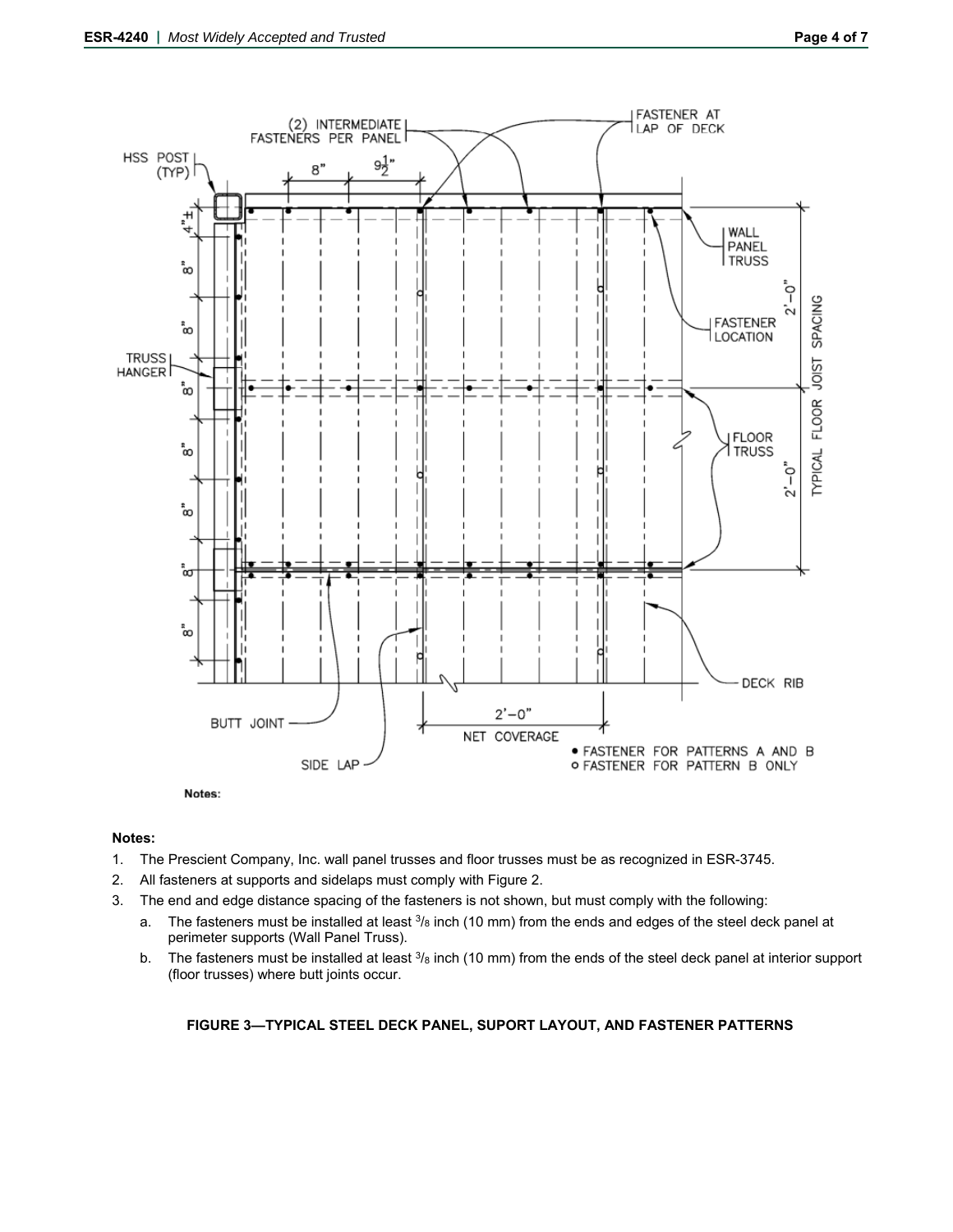

# **Notes:**

- 1. The Prescient Company, Inc. wall panel trusses and floor trusses must be as recognized in ESR-3745.
- 2. All fasteners at supports and sidelaps must comply with Figure 2.
- 3. The end and edge distance spacing of the fasteners is not shown, but must comply with the following:
	- a. The fasteners must be installed at least  $3/8$  inch (10 mm) from the ends and edges of the steel deck panel at perimeter supports (Wall Panel Truss).
	- b. The fasteners must be installed at least  $3/8$  inch (10 mm) from the ends of the steel deck panel at interior support (floor trusses) where butt joints occur.

# **FIGURE 3—TYPICAL STEEL DECK PANEL, SUPORT LAYOUT, AND FASTENER PATTERNS**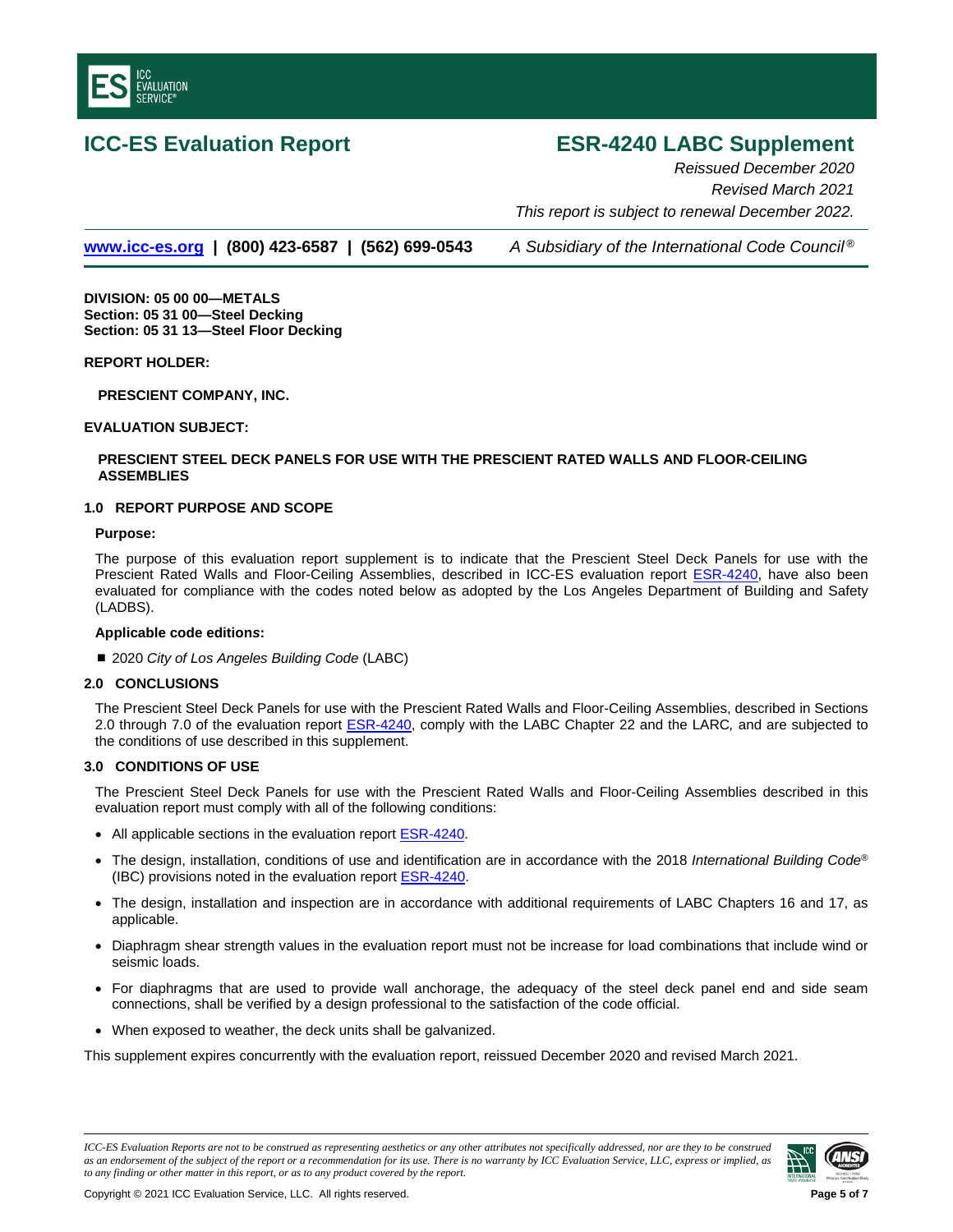<span id="page-4-0"></span>

# **ICC-ES Evaluation Report ESR-4240 LABC Supplement**

*Reissued December 2020 Revised March 2021 This report is subject to renewal December 2022.*

**[www.icc-es.org](http://www.icc-es.org/) | (800) 423-6587 | (562) 699-0543** *A Subsidiary of the International Code Council ®*

**DIVISION: 05 00 00—METALS Section: 05 31 00—Steel Decking Section: 05 31 13—Steel Floor Decking**

**REPORT HOLDER:**

**PRESCIENT COMPANY, INC.**

### **EVALUATION SUBJECT:**

# **PRESCIENT STEEL DECK PANELS FOR USE WITH THE PRESCIENT RATED WALLS AND FLOOR-CEILING ASSEMBLIES**

# **1.0 REPORT PURPOSE AND SCOPE**

#### **Purpose:**

The purpose of this evaluation report supplement is to indicate that the Prescient Steel Deck Panels for use with the Prescient Rated Walls and Floor-Ceiling Assemblies, described in ICC-ES evaluation report [ESR-4240, h](#page-0-0)ave also been evaluated for compliance with the codes noted below as adopted by the Los Angeles Department of Building and Safety (LADBS).

#### **Applicable code edition***s***:**

■ 2020 *City of Los Angeles Building Code* (LABC)

### **2.0 CONCLUSIONS**

The Prescient Steel Deck Panels for use with the Prescient Rated Walls and Floor-Ceiling Assemblies, described in Sections 2.0 through 7.0 of the evaluation report [ESR-4240,](#page-0-0) comply with the LABC Chapter 22 and the LARC*,* and are subjected to the conditions of use described in this supplement.

# **3.0 CONDITIONS OF USE**

The Prescient Steel Deck Panels for use with the Prescient Rated Walls and Floor-Ceiling Assemblies described in this evaluation report must comply with all of the following conditions:

- All applicable sections in the evaluation report [ESR-4240.](#page-0-0)
- The design, installation, conditions of use and identification are in accordance with the 2018 *International Building Code*® (IBC) provisions noted in the evaluation report **ESR-4240**.
- The design, installation and inspection are in accordance with additional requirements of LABC Chapters 16 and 17, as applicable.
- Diaphragm shear strength values in the evaluation report must not be increase for load combinations that include wind or seismic loads.
- For diaphragms that are used to provide wall anchorage, the adequacy of the steel deck panel end and side seam connections, shall be verified by a design professional to the satisfaction of the code official.
- When exposed to weather, the deck units shall be galvanized.

This supplement expires concurrently with the evaluation report, reissued December 2020 and revised March 2021.

*ICC-ES Evaluation Reports are not to be construed as representing aesthetics or any other attributes not specifically addressed, nor are they to be construed as an endorsement of the subject of the report or a recommendation for its use. There is no warranty by ICC Evaluation Service, LLC, express or implied, as to any finding or other matter in this report, or as to any product covered by the report.*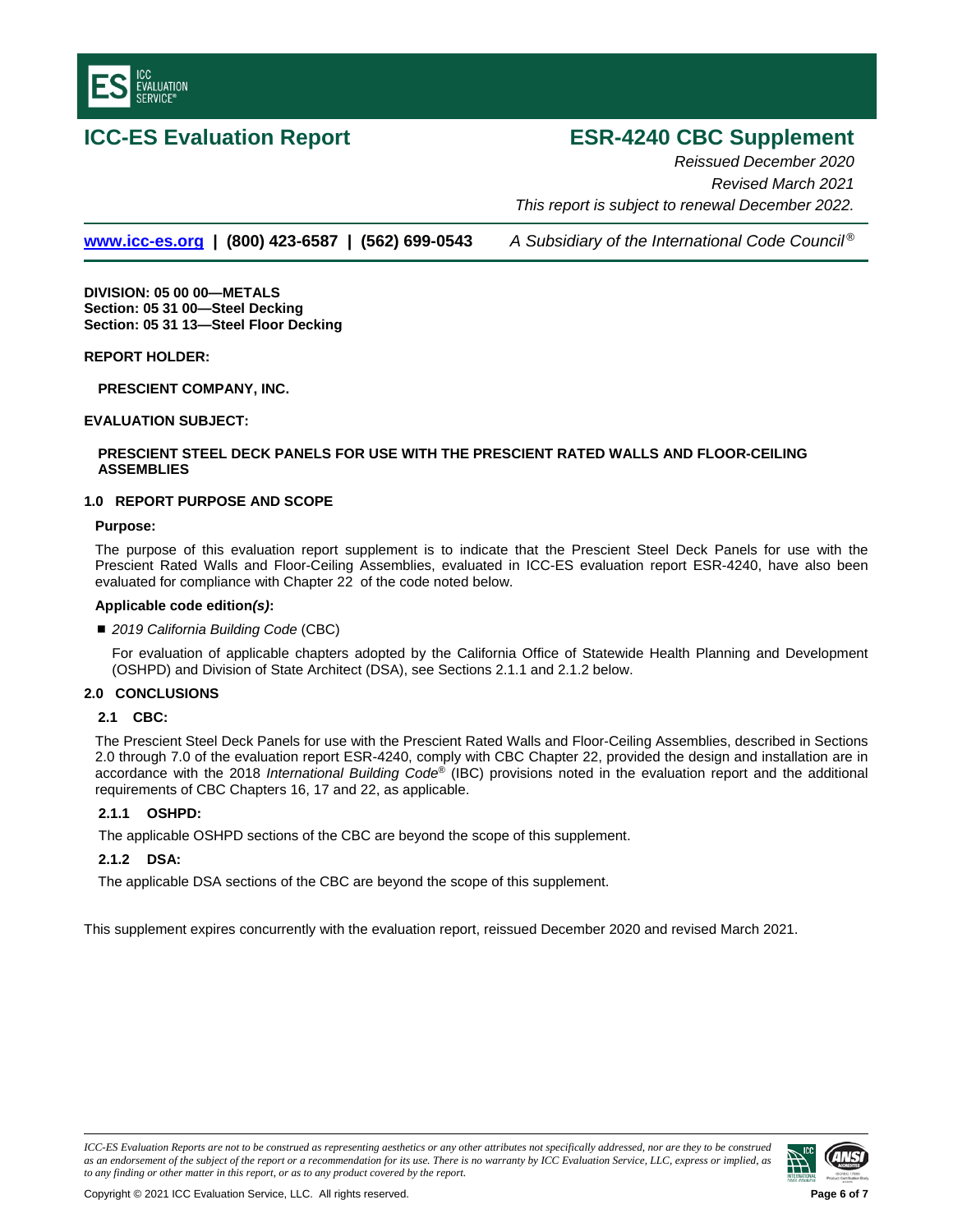

# **ICC-ES Evaluation Report ESR-4240 CBC Supplement**

*Reissued December 2020 Revised March 2021 This report is subject to renewal December 2022.* 

**[www.icc-es.org](http://www.icc-es.org/) | (800) 423-6587 | (562) 699-0543** *A Subsidiary of the International Code Council ®*

**DIVISION: 05 00 00—METALS Section: 05 31 00—Steel Decking Section: 05 31 13—Steel Floor Decking**

### **REPORT HOLDER:**

**PRESCIENT COMPANY, INC.**

### **EVALUATION SUBJECT:**

# **PRESCIENT STEEL DECK PANELS FOR USE WITH THE PRESCIENT RATED WALLS AND FLOOR-CEILING ASSEMBLIES**

### **1.0 REPORT PURPOSE AND SCOPE**

#### **Purpose:**

The purpose of this evaluation report supplement is to indicate that the Prescient Steel Deck Panels for use with the Prescient Rated Walls and Floor-Ceiling Assemblies, evaluated in ICC-ES evaluation report ESR-4240, have also been evaluated for compliance with Chapter 22 of the code noted below.

#### **Applicable code edition***(s)***:**

#### *2019 California Building Code* (CBC)

For evaluation of applicable chapters adopted by the California Office of Statewide Health Planning and Development (OSHPD) and Division of State Architect (DSA), see Sections 2.1.1 and 2.1.2 below.

#### **2.0 CONCLUSIONS**

# **2.1 CBC:**

The Prescient Steel Deck Panels for use with the Prescient Rated Walls and Floor-Ceiling Assemblies, described in Sections 2.0 through 7.0 of the evaluation report ESR-4240, comply with CBC Chapter 22, provided the design and installation are in accordance with the 2018 *International Building Code*® (IBC) provisions noted in the evaluation report and the additional requirements of CBC Chapters 16, 17 and 22, as applicable.

# **2.1.1 OSHPD:**

The applicable OSHPD sections of the CBC are beyond the scope of this supplement.

## **2.1.2 DSA:**

The applicable DSA sections of the CBC are beyond the scope of this supplement.

This supplement expires concurrently with the evaluation report, reissued December 2020 and revised March 2021.